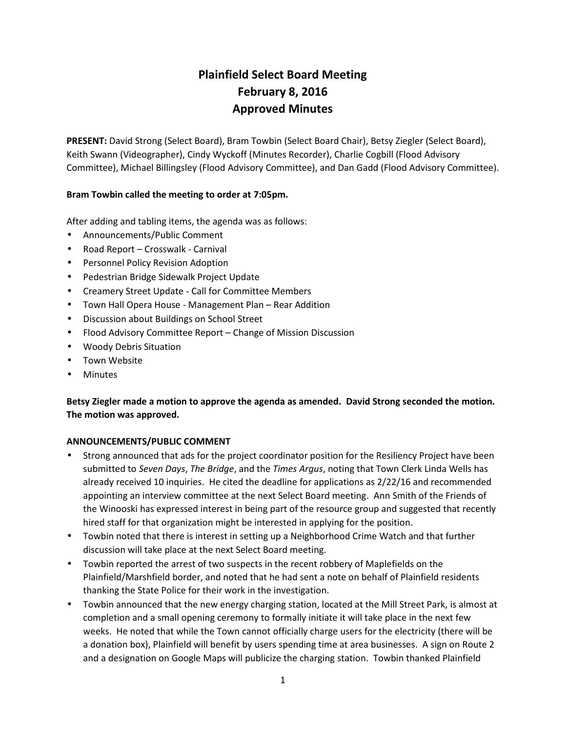# **Plainfield Select Board Meeting February 8, 2016 Approved Minutes**

**PRESENT:** David Strong (Select Board), Bram Towbin (Select Board Chair), Betsy Ziegler (Select Board), Keith Swann (Videographer), Cindy Wyckoff (Minutes Recorder), Charlie Cogbill (Flood Advisory Committee), Michael Billingsley (Flood Advisory Committee), and Dan Gadd (Flood Advisory Committee).

# **Bram Towbin called the meeting to order at 7:05pm.**

After adding and tabling items, the agenda was as follows:

- Announcements/Public Comment
- Road Report Crosswalk Carnival
- **•** Personnel Policy Revision Adoption
- Pedestrian Bridge Sidewalk Project Update
- Creamery Street Update Call for Committee Members
- Town Hall Opera House Management Plan Rear Addition
- Discussion about Buildings on School Street
- Flood Advisory Committee Report Change of Mission Discussion
- Woody Debris Situation
- Town Website
- Minutes

# **Betsy Ziegler made a motion to approve the agenda as amended. David Strong seconded the motion. The motion was approved.**

## **ANNOUNCEMENTS/PUBLIC COMMENT**

- Strong announced that ads for the project coordinator position for the Resiliency Project have been submitted to *Seven Days*, *The Bridge*, and the *Times Argus*, noting that Town Clerk Linda Wells has already received 10 inquiries. He cited the deadline for applications as 2/22/16 and recommended appointing an interview committee at the next Select Board meeting. Ann Smith of the Friends of the Winooski has expressed interest in being part of the resource group and suggested that recently hired staff for that organization might be interested in applying for the position.
- Towbin noted that there is interest in setting up a Neighborhood Crime Watch and that further discussion will take place at the next Select Board meeting.
- Towbin reported the arrest of two suspects in the recent robbery of Maplefields on the Plainfield/Marshfield border, and noted that he had sent a note on behalf of Plainfield residents thanking the State Police for their work in the investigation.
- Towbin announced that the new energy charging station, located at the Mill Street Park, is almost at completion and a small opening ceremony to formally initiate it will take place in the next few weeks. He noted that while the Town cannot officially charge users for the electricity (there will be a donation box), Plainfield will benefit by users spending time at area businesses. A sign on Route 2 and a designation on Google Maps will publicize the charging station. Towbin thanked Plainfield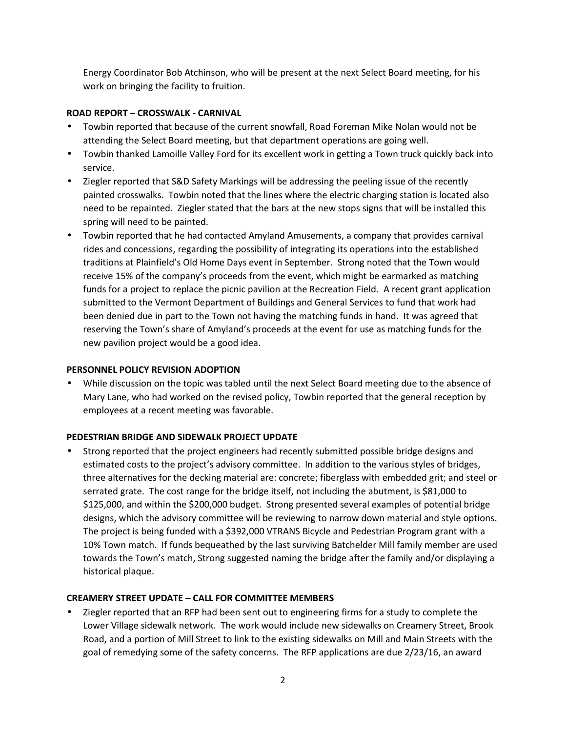Energy Coordinator Bob Atchinson, who will be present at the next Select Board meeting, for his work on bringing the facility to fruition.

## **ROAD REPORT – CROSSWALK - CARNIVAL**

- Towbin reported that because of the current snowfall, Road Foreman Mike Nolan would not be attending the Select Board meeting, but that department operations are going well.
- Towbin thanked Lamoille Valley Ford for its excellent work in getting a Town truck quickly back into service.
- Ziegler reported that S&D Safety Markings will be addressing the peeling issue of the recently painted crosswalks. Towbin noted that the lines where the electric charging station is located also need to be repainted. Ziegler stated that the bars at the new stops signs that will be installed this spring will need to be painted.
- Towbin reported that he had contacted Amyland Amusements, a company that provides carnival rides and concessions, regarding the possibility of integrating its operations into the established traditions at Plainfield's Old Home Days event in September. Strong noted that the Town would receive 15% of the company's proceeds from the event, which might be earmarked as matching funds for a project to replace the picnic pavilion at the Recreation Field. A recent grant application submitted to the Vermont Department of Buildings and General Services to fund that work had been denied due in part to the Town not having the matching funds in hand. It was agreed that reserving the Town's share of Amyland's proceeds at the event for use as matching funds for the new pavilion project would be a good idea.

## **PERSONNEL POLICY REVISION ADOPTION**

 While discussion on the topic was tabled until the next Select Board meeting due to the absence of Mary Lane, who had worked on the revised policy, Towbin reported that the general reception by employees at a recent meeting was favorable.

# **PEDESTRIAN BRIDGE AND SIDEWALK PROJECT UPDATE**

 Strong reported that the project engineers had recently submitted possible bridge designs and estimated costs to the project's advisory committee. In addition to the various styles of bridges, three alternatives for the decking material are: concrete; fiberglass with embedded grit; and steel or serrated grate. The cost range for the bridge itself, not including the abutment, is \$81,000 to \$125,000, and within the \$200,000 budget. Strong presented several examples of potential bridge designs, which the advisory committee will be reviewing to narrow down material and style options. The project is being funded with a \$392,000 VTRANS Bicycle and Pedestrian Program grant with a 10% Town match. If funds bequeathed by the last surviving Batchelder Mill family member are used towards the Town's match, Strong suggested naming the bridge after the family and/or displaying a historical plaque.

# **CREAMERY STREET UPDATE – CALL FOR COMMITTEE MEMBERS**

 Ziegler reported that an RFP had been sent out to engineering firms for a study to complete the Lower Village sidewalk network. The work would include new sidewalks on Creamery Street, Brook Road, and a portion of Mill Street to link to the existing sidewalks on Mill and Main Streets with the goal of remedying some of the safety concerns. The RFP applications are due 2/23/16, an award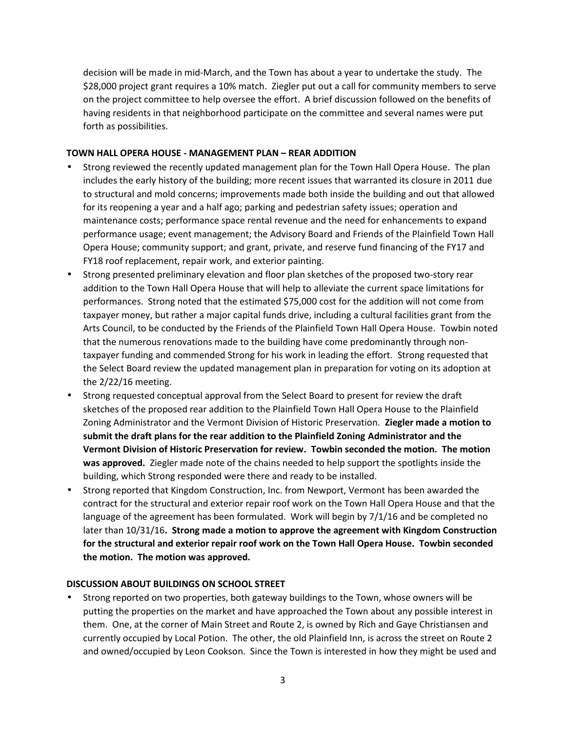decision will be made in mid-March, and the Town has about a year to undertake the study. The \$28,000 project grant requires a 10% match. Ziegler put out a call for community members to serve on the project committee to help oversee the effort. A brief discussion followed on the benefits of having residents in that neighborhood participate on the committee and several names were put forth as possibilities.

## **TOWN HALL OPERA HOUSE - MANAGEMENT PLAN – REAR ADDITION**

- Strong reviewed the recently updated management plan for the Town Hall Opera House. The plan includes the early history of the building; more recent issues that warranted its closure in 2011 due to structural and mold concerns; improvements made both inside the building and out that allowed for its reopening a year and a half ago; parking and pedestrian safety issues; operation and maintenance costs; performance space rental revenue and the need for enhancements to expand performance usage; event management; the Advisory Board and Friends of the Plainfield Town Hall Opera House; community support; and grant, private, and reserve fund financing of the FY17 and FY18 roof replacement, repair work, and exterior painting.
- Strong presented preliminary elevation and floor plan sketches of the proposed two-story rear addition to the Town Hall Opera House that will help to alleviate the current space limitations for performances. Strong noted that the estimated \$75,000 cost for the addition will not come from taxpayer money, but rather a major capital funds drive, including a cultural facilities grant from the Arts Council, to be conducted by the Friends of the Plainfield Town Hall Opera House. Towbin noted that the numerous renovations made to the building have come predominantly through non taxpayer funding and commended Strong for his work in leading the effort. Strong requested that the Select Board review the updated management plan in preparation for voting on its adoption at the 2/22/16 meeting.
- Strong requested conceptual approval from the Select Board to present for review thedraft sketches of the proposed rear addition to the Plainfield Town Hall Opera House to the Plainfield Zoning Administrator and the Vermont Division of Historic Preservation. **Ziegler made a motion to submit the draft plans for the rear addition to the Plainfield Zoning Administrator and the Vermont Division of Historic Preservation for review. Towbin seconded the motion. The motion was approved.** Ziegler made note of the chains needed to help support the spotlights inside the building, which Strong responded were there and ready to be installed.
- Strong reported that Kingdom Construction, Inc. from Newport, Vermont has been awarded the contract for the structural and exterior repair roof work on the Town Hall Opera House and that the language of the agreement has been formulated. Work will begin by 7/1/16 and be completed no later than 10/31/16**. Strong made a motion to approve the agreement with Kingdom Construction for the structural and exterior repair roof work on the Town Hall Opera House. Towbin seconded the motion. The motion was approved.**

## **DISCUSSION ABOUT BUILDINGS ON SCHOOL STREET**

 Strong reported on two properties, both gateway buildings to the Town, whose owners will be putting the properties on the market and have approached the Town about any possible interest in them. One, at the corner of Main Street and Route 2, is owned by Rich and Gaye Christiansen and currently occupied by Local Potion. The other, the old Plainfield Inn, is across the street on Route 2 and owned/occupied by Leon Cookson. Since the Town is interested in how they might be used and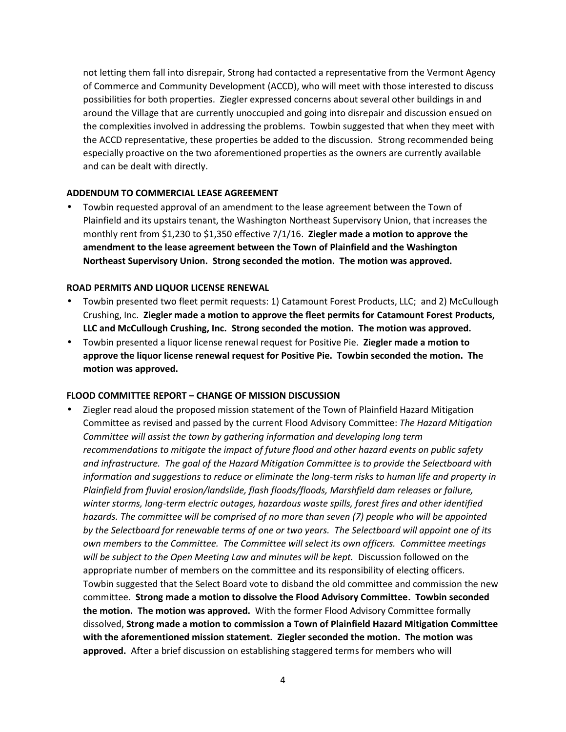not letting them fall into disrepair, Strong had contacted a representative from the Vermont Agency of Commerce and Community Development (ACCD), who will meet with those interested to discuss possibilities for both properties. Ziegler expressed concerns about several other buildings in and around the Village that are currently unoccupied and going into disrepair and discussion ensued on the complexities involved in addressing the problems. Towbin suggested that when they meet with the ACCD representative, these properties be added to the discussion. Strong recommended being especially proactive on the two aforementioned properties as the owners are currently available and can be dealt with directly.

#### **ADDENDUM TO COMMERCIAL LEASE AGREEMENT**

 Towbin requested approval of an amendment to the lease agreement between the Town of Plainfield and its upstairs tenant, the Washington Northeast Supervisory Union, that increases the monthly rent from \$1,230 to \$1,350 effective 7/1/16. **Ziegler made a motion to approve the amendment to the lease agreement between the Town of Plainfield and the Washington Northeast Supervisory Union. Strong seconded the motion. The motion was approved.**

#### **ROAD PERMITS AND LIQUOR LICENSE RENEWAL**

- Towbin presented two fleet permit requests: 1) Catamount Forest Products, LLC; and 2) McCullough Crushing, Inc. **Ziegler made a motion to approve the fleet permits for Catamount Forest Products, LLC and McCullough Crushing, Inc. Strong seconded the motion. The motion was approved.**
- Towbin presented a liquor license renewal request for Positive Pie. **Ziegler made a motion to approve the liquor license renewal request for Positive Pie. Towbin seconded the motion. The motion was approved.**

#### **FLOOD COMMITTEE REPORT – CHANGE OF MISSION DISCUSSION**

 Ziegler read aloud the proposed mission statement of the Town of Plainfield Hazard Mitigation Committee as revised and passed by the current Flood Advisory Committee: *The Hazard Mitigation Committee will assist the town by gathering information and developing long term recommendations to mitigate the impact of future flood and other hazard events on public safety and infrastructure. The goal of the Hazard Mitigation Committee is to provide the Selectboard with information and suggestions to reduce or eliminate the long-term risks to human life and property in Plainfield from fluvial erosion/landslide, flash floods/floods, Marshfield dam releases or failure, winter storms, long-term electric outages, hazardous waste spills, forest fires and other identified hazards. The committee will be comprised of no more than seven (7) people who will be appointed by the Selectboard for renewable terms of one or two years. The Selectboard will appoint one of its own members to the Committee. The Committee will select its own officers. Committee meetings will be subject to the Open Meeting Law and minutes will be kept.* Discussion followed on the appropriate number of members on the committee and its responsibility of electing officers. Towbin suggested that the Select Board vote to disband the old committee and commission the new committee. **Strong made a motion to dissolve the Flood Advisory Committee. Towbin seconded the motion. The motion was approved.** With the former Flood Advisory Committee formally dissolved, **Strong made a motion to commission a Town of Plainfield Hazard Mitigation Committee with the aforementioned mission statement. Ziegler seconded the motion. The motion was approved.** After a brief discussion on establishing staggered terms for members who will